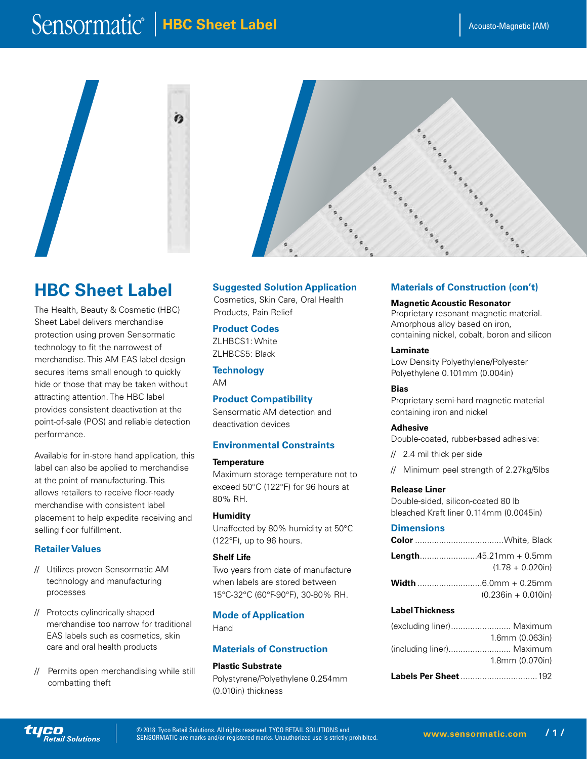# $\overline{\text{Sensormatic}}$  | HBC Sheet Label

 $\ddot{\bm{c}}$ 





## **HBC Sheet Label**

The Health, Beauty & Cosmetic (HBC) Sheet Label delivers merchandise protection using proven Sensormatic technology to fit the narrowest of merchandise. This AM EAS label design secures items small enough to quickly hide or those that may be taken without attracting attention. The HBC label provides consistent deactivation at the point-of-sale (POS) and reliable detection performance.

Available for in-store hand application, this label can also be applied to merchandise at the point of manufacturing. This allows retailers to receive floor-ready merchandise with consistent label placement to help expedite receiving and selling floor fulfillment.

## **Retailer Values**

**Retail Solutions** 

- // Utilizes proven Sensormatic AM technology and manufacturing processes
- // Protects cylindrically-shaped merchandise too narrow for traditional EAS labels such as cosmetics, skin care and oral health products
- // Permits open merchandising while still combatting theft

## **Suggested Solution Application**

Cosmetics, Skin Care, Oral Health Products, Pain Relief

## **Product Codes**

ZLHBCS1: White ZLHBCS5: Black

**Technology** AM

## **Product Compatibility**

Sensormatic AM detection and deactivation devices

## **Environmental Constraints**

#### **Temperature**

Maximum storage temperature not to exceed 50°C (122°F) for 96 hours at 80% RH.

## **Humidity**

Unaffected by 80% humidity at 50°C (122°F), up to 96 hours.

### **Shelf Life**

Two years from date of manufacture when labels are stored between 15°C-32°C (60°F-90°F), 30-80% RH.

## **Mode of Application**

Hand

## **Materials of Construction**

**Plastic Substrate** Polystyrene/Polyethylene 0.254mm (0.010in) thickness

## **Materials of Construction (con't)**

#### **Magnetic Acoustic Resonator**

Proprietary resonant magnetic material. Amorphous alloy based on iron, containing nickel, cobalt, boron and silicon

## **Laminate**

Low Density Polyethylene/Polyester Polyethylene 0.101mm (0.004in)

### **Bias**

Proprietary semi-hard magnetic material containing iron and nickel

## **Adhesive**

Double-coated, rubber-based adhesive:

- // 2.4 mil thick per side
- // Minimum peel strength of 2.27kg/5lbs

## **Release Liner**

Double-sided, silicon-coated 80 lb bleached Kraft liner 0.114mm (0.0045in)

## **Dimensions**

| <b>Length45.21mm + 0.5mm</b><br>$(1.78 + 0.020)$ in) |
|------------------------------------------------------|
| $(0.236in + 0.010in)$                                |

## **Label Thickness**

| (excluding liner) Maximum |                          |
|---------------------------|--------------------------|
|                           | $1.6$ mm $(0.063)$ in    |
| (including liner) Maximum |                          |
|                           | $1.8$ mm $(0.070$ in $)$ |
|                           |                          |